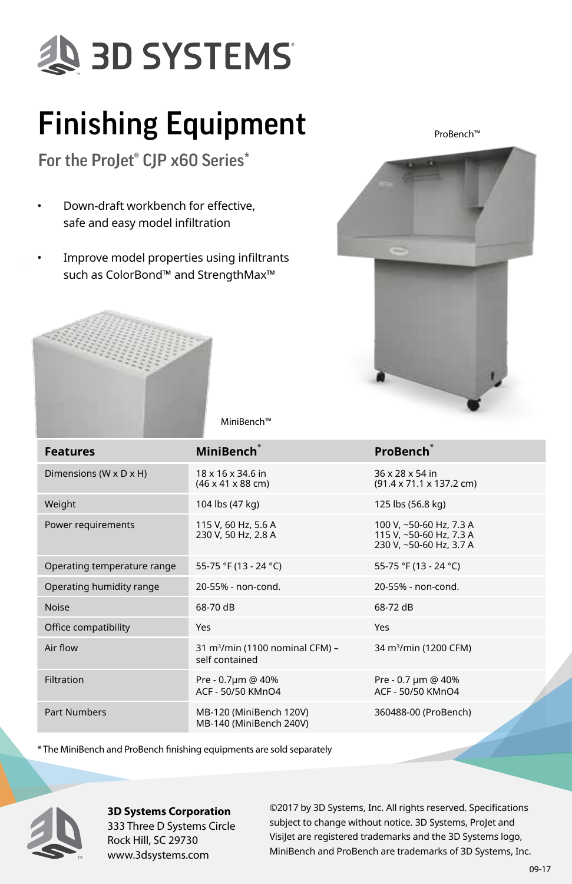## **SD SYSTEMS**

### Finishing Equipment

For the ProJet® CJP x60 Series\*

- Down-draft workbench for effective, safe and easy model infiltration
- Improve model properties using infiltrants such as ColorBond™ and StrengthMax™

ProBench™





MiniBench™

| <b>Features</b>             | MiniBench <sup>*</sup>                                        | <b>ProBench</b>                                                               |  |
|-----------------------------|---------------------------------------------------------------|-------------------------------------------------------------------------------|--|
| Dimensions (W x D x H)      | 18 x 16 x 34.6 in<br>$(46 \times 41 \times 88 \text{ cm})$    | 36 x 28 x 54 in<br>(91.4 x 71.1 x 137.2 cm)                                   |  |
| Weight                      | 104 lbs (47 kg)                                               | 125 lbs (56.8 kg)                                                             |  |
| Power requirements          | 115 V, 60 Hz, 5.6 A<br>230 V, 50 Hz, 2.8 A                    | 100 V, ~50-60 Hz, 7.3 A<br>115 V. ~50-60 Hz. 7.3 A<br>230 V, ~50-60 Hz, 3.7 A |  |
| Operating temperature range | 55-75 °F (13 - 24 °C)                                         | 55-75 °F (13 - 24 °C)                                                         |  |
| Operating humidity range    | 20-55% - non-cond.                                            | 20-55% - non-cond.                                                            |  |
| <b>Noise</b>                | 68-70 dB                                                      | 68-72 dB                                                                      |  |
| Office compatibility        | Yes                                                           | Yes                                                                           |  |
| Air flow                    | 31 m <sup>3</sup> /min (1100 nominal CFM) -<br>self contained | 34 m <sup>3</sup> /min (1200 CFM)                                             |  |
| Filtration                  | Pre - 0.7um @ 40%<br>ACF - 50/50 KMnO4                        | Pre - 0.7 µm @ 40%<br>ACF - 50/50 KMnO4                                       |  |
| <b>Part Numbers</b>         | MB-120 (MiniBench 120V)<br>MB-140 (MiniBench 240V)            | 360488-00 (ProBench)                                                          |  |

\* The MiniBench and ProBench finishing equipments are sold separately



**3D Systems Corporation** 333 Three D Systems Circle Rock Hill, SC 29730 www.3dsystems.com

©2017 by 3D Systems, Inc. All rights reserved. Specifications subject to change without notice. 3D Systems, ProJet and VisiJet are registered trademarks and the 3D Systems logo, MiniBench and ProBench are trademarks of 3D Systems, Inc.